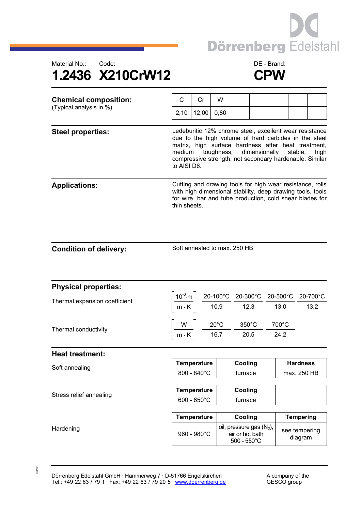



| <b>Chemical composition:</b><br>(Typical analysis in %) | С                                                                                                                                                                                                                                                                                                      | Cr    | W    |  |  |  |  |  |  |  |
|---------------------------------------------------------|--------------------------------------------------------------------------------------------------------------------------------------------------------------------------------------------------------------------------------------------------------------------------------------------------------|-------|------|--|--|--|--|--|--|--|
|                                                         | 2,10                                                                                                                                                                                                                                                                                                   | 12,00 | 0,80 |  |  |  |  |  |  |  |
| <b>Steel properties:</b>                                | Ledeburitic 12% chrome steel, excellent wear resistance<br>due to the high volume of hard carbides in the steel<br>matrix, high surface hardness after heat treatment,<br>toughness, dimensionally stable,<br>medium<br>high<br>compressive strength, not secondary hardenable. Similar<br>to AISI D6. |       |      |  |  |  |  |  |  |  |
| <b>Applications:</b>                                    | Cutting and drawing tools for high wear resistance, rolls<br>with high dimensional stability, deep drawing tools, tools<br>for wire, bar and tube production, cold shear blades for<br>thin sheets.                                                                                                    |       |      |  |  |  |  |  |  |  |

Soft annealed to max. 250 HB

| <b>Physical properties:</b>   |                                                                                                          |  |                                                                                                                                                                                                                                                                          |       |                          |  |  |  |  |  |  |  |
|-------------------------------|----------------------------------------------------------------------------------------------------------|--|--------------------------------------------------------------------------------------------------------------------------------------------------------------------------------------------------------------------------------------------------------------------------|-------|--------------------------|--|--|--|--|--|--|--|
| Thermal expansion coefficient |                                                                                                          |  | $\left[\frac{10^{-6} \text{ m}}{\text{m} \cdot \text{K}}\right] \frac{\text{20-100}^{\circ}\text{C}}{\text{10,9}} \frac{\text{20-300}^{\circ}\text{C}}{\text{12,3}} \frac{\text{20-500}^{\circ}\text{C}}{\text{13,0}} \frac{\text{20-700}^{\circ}\text{C}}{\text{13,2}}$ |       |                          |  |  |  |  |  |  |  |
|                               |                                                                                                          |  |                                                                                                                                                                                                                                                                          |       |                          |  |  |  |  |  |  |  |
| Thermal conductivity          |                                                                                                          |  |                                                                                                                                                                                                                                                                          | 700°C |                          |  |  |  |  |  |  |  |
|                               | $\frac{W}{m \cdot K}$ $\frac{20^{\circ}C}{16,7}$ $\frac{350^{\circ}C}{20,5}$ $\frac{700^{\circ}C}{24,2}$ |  |                                                                                                                                                                                                                                                                          |       |                          |  |  |  |  |  |  |  |
| <b>Heat treatment:</b>        |                                                                                                          |  |                                                                                                                                                                                                                                                                          |       |                          |  |  |  |  |  |  |  |
| Soft annealing                | <b>Temperature</b>                                                                                       |  | Cooling                                                                                                                                                                                                                                                                  |       | <b>Hardness</b>          |  |  |  |  |  |  |  |
|                               | $800 - 840^{\circ}$ C                                                                                    |  | furnace                                                                                                                                                                                                                                                                  |       | max. 250 HB              |  |  |  |  |  |  |  |
|                               |                                                                                                          |  |                                                                                                                                                                                                                                                                          |       |                          |  |  |  |  |  |  |  |
| Stress relief annealing       | Temperature                                                                                              |  | Cooling                                                                                                                                                                                                                                                                  |       |                          |  |  |  |  |  |  |  |
|                               | $600 - 650^{\circ}$ C                                                                                    |  | furnace                                                                                                                                                                                                                                                                  |       |                          |  |  |  |  |  |  |  |
|                               |                                                                                                          |  |                                                                                                                                                                                                                                                                          |       |                          |  |  |  |  |  |  |  |
|                               | <b>Temperature</b>                                                                                       |  | Cooling                                                                                                                                                                                                                                                                  |       | <b>Tempering</b>         |  |  |  |  |  |  |  |
| Hardening                     | $960 - 980^{\circ}$ C                                                                                    |  | oil, pressure gas $(N_2)$ ,<br>air or hot bath<br>$500 - 550^{\circ}$ C                                                                                                                                                                                                  |       | see tempering<br>diagram |  |  |  |  |  |  |  |